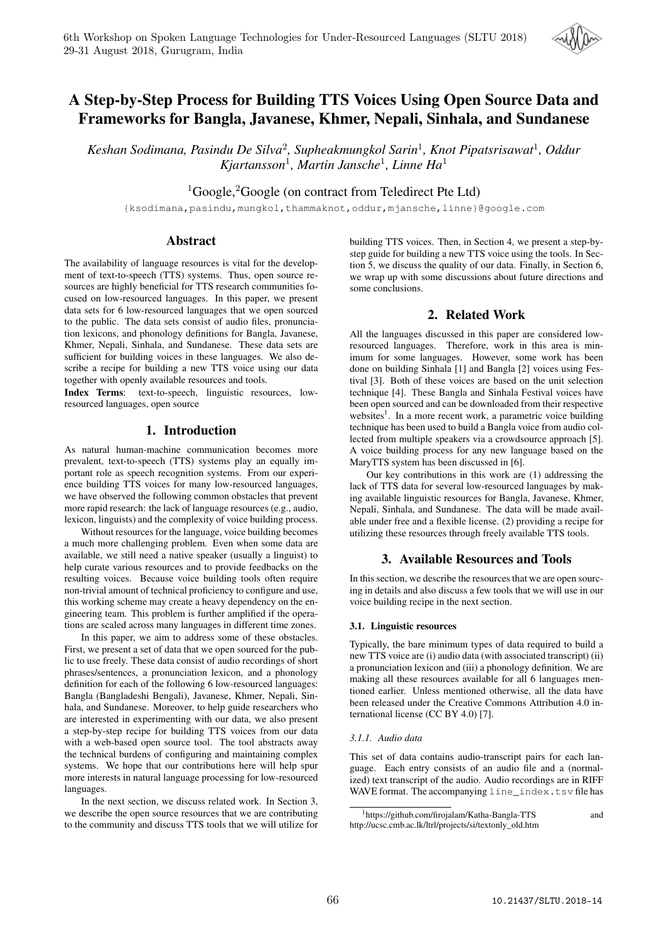

# A Step-by-Step Process for Building TTS Voices Using Open Source Data and Frameworks for Bangla, Javanese, Khmer, Nepali, Sinhala, and Sundanese

*Keshan Sodimana, Pasindu De Silva*<sup>2</sup> *, Supheakmungkol Sarin*<sup>1</sup> *, Knot Pipatsrisawat*<sup>1</sup> *, Oddur Kjartansson*<sup>1</sup> *, Martin Jansche*<sup>1</sup> *, Linne Ha*<sup>1</sup>

 ${}^{1}$ Google, ${}^{2}$ Google (on contract from Teledirect Pte Ltd)

{ksodimana,pasindu,mungkol,thammaknot,oddur,mjansche,linne}@google.com

# Abstract

The availability of language resources is vital for the development of text-to-speech (TTS) systems. Thus, open source resources are highly beneficial for TTS research communities focused on low-resourced languages. In this paper, we present data sets for 6 low-resourced languages that we open sourced to the public. The data sets consist of audio files, pronunciation lexicons, and phonology definitions for Bangla, Javanese, Khmer, Nepali, Sinhala, and Sundanese. These data sets are sufficient for building voices in these languages. We also describe a recipe for building a new TTS voice using our data together with openly available resources and tools.

Index Terms: text-to-speech, linguistic resources, lowresourced languages, open source

# 1. Introduction

As natural human-machine communication becomes more prevalent, text-to-speech (TTS) systems play an equally important role as speech recognition systems. From our experience building TTS voices for many low-resourced languages, we have observed the following common obstacles that prevent more rapid research: the lack of language resources (e.g., audio, lexicon, linguists) and the complexity of voice building process.

Without resources for the language, voice building becomes a much more challenging problem. Even when some data are available, we still need a native speaker (usually a linguist) to help curate various resources and to provide feedbacks on the resulting voices. Because voice building tools often require non-trivial amount of technical proficiency to configure and use, this working scheme may create a heavy dependency on the engineering team. This problem is further amplified if the operations are scaled across many languages in different time zones.

In this paper, we aim to address some of these obstacles. First, we present a set of data that we open sourced for the public to use freely. These data consist of audio recordings of short phrases/sentences, a pronunciation lexicon, and a phonology definition for each of the following 6 low-resourced languages: Bangla (Bangladeshi Bengali), Javanese, Khmer, Nepali, Sinhala, and Sundanese. Moreover, to help guide researchers who are interested in experimenting with our data, we also present a step-by-step recipe for building TTS voices from our data with a web-based open source tool. The tool abstracts away the technical burdens of configuring and maintaining complex systems. We hope that our contributions here will help spur more interests in natural language processing for low-resourced languages.

In the next section, we discuss related work. In Section 3, we describe the open source resources that we are contributing to the community and discuss TTS tools that we will utilize for building TTS voices. Then, in Section 4, we present a step-bystep guide for building a new TTS voice using the tools. In Section 5, we discuss the quality of our data. Finally, in Section 6, we wrap up with some discussions about future directions and some conclusions.

# 2. Related Work

All the languages discussed in this paper are considered lowresourced languages. Therefore, work in this area is minimum for some languages. However, some work has been done on building Sinhala [1] and Bangla [2] voices using Festival [3]. Both of these voices are based on the unit selection technique [4]. These Bangla and Sinhala Festival voices have been open sourced and can be downloaded from their respective websites<sup>1</sup>. In a more recent work, a parametric voice building technique has been used to build a Bangla voice from audio collected from multiple speakers via a crowdsource approach [5]. A voice building process for any new language based on the MaryTTS system has been discussed in [6].

Our key contributions in this work are (1) addressing the lack of TTS data for several low-resourced languages by making available linguistic resources for Bangla, Javanese, Khmer, Nepali, Sinhala, and Sundanese. The data will be made available under free and a flexible license. (2) providing a recipe for utilizing these resources through freely available TTS tools.

# 3. Available Resources and Tools

In this section, we describe the resources that we are open sourcing in details and also discuss a few tools that we will use in our voice building recipe in the next section.

## 3.1. Linguistic resources

Typically, the bare minimum types of data required to build a new TTS voice are (i) audio data (with associated transcript) (ii) a pronunciation lexicon and (iii) a phonology definition. We are making all these resources available for all 6 languages mentioned earlier. Unless mentioned otherwise, all the data have been released under the Creative Commons Attribution 4.0 international license (CC BY 4.0) [7].

## *3.1.1. Audio data*

This set of data contains audio-transcript pairs for each language. Each entry consists of an audio file and a (normalized) text transcript of the audio. Audio recordings are in RIFF WAVE format. The accompanying line\_index.tsv file has

<sup>&</sup>lt;sup>1</sup>https://github.com/firojalam/Katha-Bangla-TTS and http://ucsc.cmb.ac.lk/ltrl/projects/si/textonly\_old.htm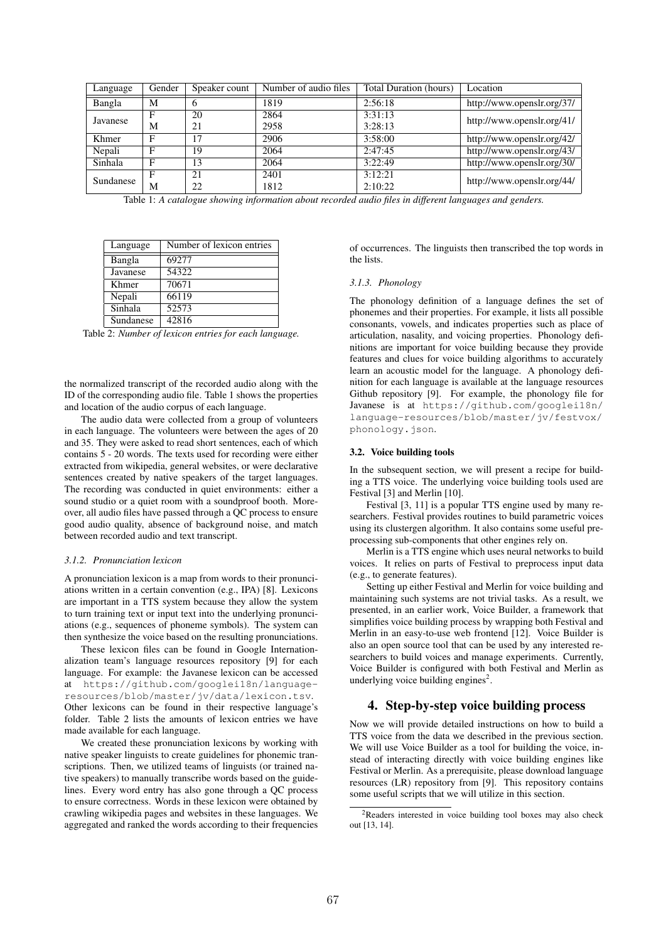| Language  | Gender | Speaker count | Number of audio files | Total Duration (hours) | Location                   |  |
|-----------|--------|---------------|-----------------------|------------------------|----------------------------|--|
| Bangla    | M      | <sub>b</sub>  | 1819                  | 2:56:18                | http://www.openslr.org/37/ |  |
| Javanese  | F      | 20            | 2864                  | 3:31:13                | http://www.openslr.org/41/ |  |
|           | M      | 21            | 2958                  | 3:28:13                |                            |  |
| Khmer     | F      | 17            | 2906                  | 3:58:00                | http://www.openslr.org/42/ |  |
| Nepali    | Е      | 19            | 2064                  | 2:47:45                | http://www.openslr.org/43/ |  |
| Sinhala   | F      | 13            | 2064                  | 3:22:49                | http://www.openslr.org/30/ |  |
| Sundanese | F      | 21            | 2401                  | 3:12:21                | http://www.openslr.org/44/ |  |
|           | M      | 22            | 1812                  | 2:10:22                |                            |  |

Table 1: *A catalogue showing information about recorded audio files in different languages and genders.*

| Language  | Number of lexicon entries |
|-----------|---------------------------|
| Bangla    | 69277                     |
| Javanese  | 54322                     |
| Khmer     | 70671                     |
| Nepali    | 66119                     |
| Sinhala   | 52573                     |
| Sundanese | 42816                     |

Table 2: *Number of lexicon entries for each language.*

the normalized transcript of the recorded audio along with the ID of the corresponding audio file. Table 1 shows the properties and location of the audio corpus of each language.

The audio data were collected from a group of volunteers in each language. The volunteers were between the ages of 20 and 35. They were asked to read short sentences, each of which contains 5 - 20 words. The texts used for recording were either extracted from wikipedia, general websites, or were declarative sentences created by native speakers of the target languages. The recording was conducted in quiet environments: either a sound studio or a quiet room with a soundproof booth. Moreover, all audio files have passed through a QC process to ensure good audio quality, absence of background noise, and match between recorded audio and text transcript.

#### *3.1.2. Pronunciation lexicon*

A pronunciation lexicon is a map from words to their pronunciations written in a certain convention (e.g., IPA) [8]. Lexicons are important in a TTS system because they allow the system to turn training text or input text into the underlying pronunciations (e.g., sequences of phoneme symbols). The system can then synthesize the voice based on the resulting pronunciations.

These lexicon files can be found in Google Internationalization team's language resources repository [9] for each language. For example: the Javanese lexicon can be accessed at https://github.com/googlei18n/languageresources/blob/master/jv/data/lexicon.tsv. Other lexicons can be found in their respective language's folder. Table 2 lists the amounts of lexicon entries we have made available for each language.

We created these pronunciation lexicons by working with native speaker linguists to create guidelines for phonemic transcriptions. Then, we utilized teams of linguists (or trained native speakers) to manually transcribe words based on the guidelines. Every word entry has also gone through a QC process to ensure correctness. Words in these lexicon were obtained by crawling wikipedia pages and websites in these languages. We aggregated and ranked the words according to their frequencies of occurrences. The linguists then transcribed the top words in the lists.

#### *3.1.3. Phonology*

The phonology definition of a language defines the set of phonemes and their properties. For example, it lists all possible consonants, vowels, and indicates properties such as place of articulation, nasality, and voicing properties. Phonology definitions are important for voice building because they provide features and clues for voice building algorithms to accurately learn an acoustic model for the language. A phonology definition for each language is available at the language resources Github repository [9]. For example, the phonology file for Javanese is at https://github.com/googlei18n/ language-resources/blob/master/jv/festvox/ phonology.json.

#### 3.2. Voice building tools

In the subsequent section, we will present a recipe for building a TTS voice. The underlying voice building tools used are Festival [3] and Merlin [10].

Festival [3, 11] is a popular TTS engine used by many researchers. Festival provides routines to build parametric voices using its clustergen algorithm. It also contains some useful preprocessing sub-components that other engines rely on.

Merlin is a TTS engine which uses neural networks to build voices. It relies on parts of Festival to preprocess input data (e.g., to generate features).

Setting up either Festival and Merlin for voice building and maintaining such systems are not trivial tasks. As a result, we presented, in an earlier work, Voice Builder, a framework that simplifies voice building process by wrapping both Festival and Merlin in an easy-to-use web frontend [12]. Voice Builder is also an open source tool that can be used by any interested researchers to build voices and manage experiments. Currently, Voice Builder is configured with both Festival and Merlin as underlying voice building engines<sup>2</sup>.

## 4. Step-by-step voice building process

Now we will provide detailed instructions on how to build a TTS voice from the data we described in the previous section. We will use Voice Builder as a tool for building the voice, instead of interacting directly with voice building engines like Festival or Merlin. As a prerequisite, please download language resources (LR) repository from [9]. This repository contains some useful scripts that we will utilize in this section.

<sup>2</sup>Readers interested in voice building tool boxes may also check out [13, 14].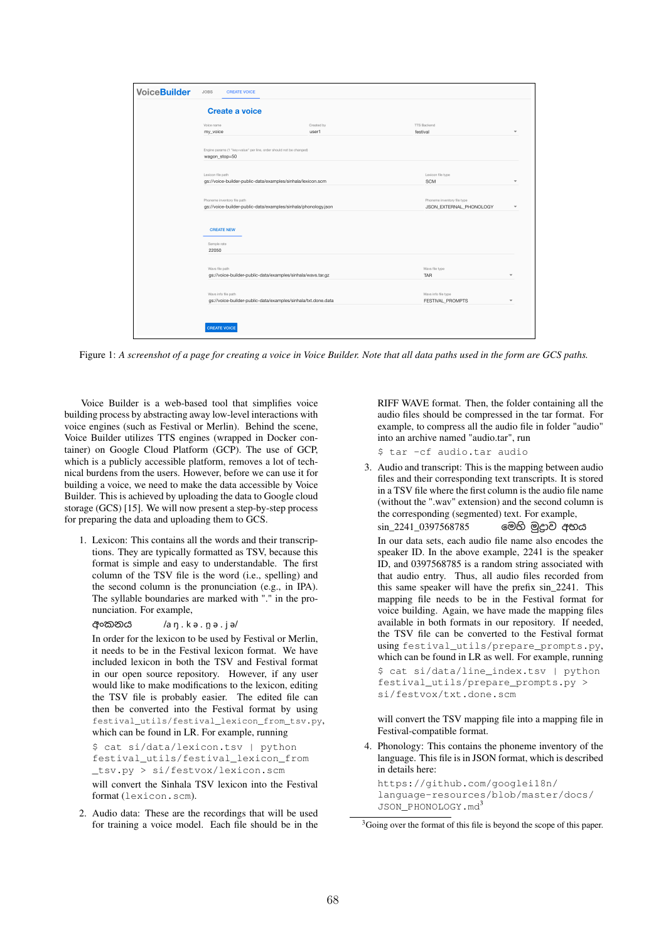| <b>Create a voice</b>                                                                         |                     |                                                        |  |  |  |
|-----------------------------------------------------------------------------------------------|---------------------|--------------------------------------------------------|--|--|--|
| Voice name<br>my_voice                                                                        | Created by<br>user1 | <b>TTS Backend</b><br>festival                         |  |  |  |
| Engine params (1 "key=value" per line, order should not be changed)<br>wagon_stop=50          |                     |                                                        |  |  |  |
| Lexicon file path<br>gs://voice-builder-public-data/examples/sinhala/lexicon.scm              |                     | Lexicon file type<br><b>SCM</b>                        |  |  |  |
| Phoneme inventory file path<br>gs://voice-builder-public-data/examples/sinhala/phonology.json |                     | Phoneme inventory file type<br>JSON_EXTERNAL_PHONOLOGY |  |  |  |
| <b>CREATE NEW</b>                                                                             |                     |                                                        |  |  |  |
| Sample rate<br>22050                                                                          |                     |                                                        |  |  |  |
| Ways file path<br>gs://voice-builder-public-data/examples/sinhala/wavs.tar.gz                 |                     | Ways file type<br><b>TAR</b>                           |  |  |  |
| Ways info file path<br>gs://voice-builder-public-data/examples/sinhala/txt.done.data          |                     | Wavs info file type<br>FESTIVAL_PROMPTS                |  |  |  |

Figure 1: *A screenshot of a page for creating a voice in Voice Builder. Note that all data paths used in the form are GCS paths.*

Voice Builder is a web-based tool that simplifies voice building process by abstracting away low-level interactions with voice engines (such as Festival or Merlin). Behind the scene, Voice Builder utilizes TTS engines (wrapped in Docker container) on Google Cloud Platform (GCP). The use of GCP, which is a publicly accessible platform, removes a lot of technical burdens from the users. However, before we can use it for building a voice, we need to make the data accessible by Voice Builder. This is achieved by uploading the data to Google cloud storage (GCS) [15]. We will now present a step-by-step process for preparing the data and uploading them to GCS.

- 1. Lexicon: This contains all the words and their transcriptions. They are typically formatted as TSV, because this format is simple and easy to understandable. The first column of the TSV file is the word (i.e., spelling) and the second column is the pronunciation (e.g., in IPA). The syllable boundaries are marked with "." in the pronunciation. For example,
	- අංකනය /a ŋ . k ə . n̪ ə . j ə/

In order for the lexicon to be used by Festival or Merlin, it needs to be in the Festival lexicon format. We have included lexicon in both the TSV and Festival format in our open source repository. However, if any user would like to make modifications to the lexicon, editing the TSV file is probably easier. The edited file can then be converted into the Festival format by using festival\_utils/festival\_lexicon\_from\_tsv.py, which can be found in LR. For example, running

\$ cat si/data/lexicon.tsv | python festival\_utils/festival\_lexicon\_from \_tsv.py > si/festvox/lexicon.scm will convert the Sinhala TSV lexicon into the Festival format (lexicon.scm).

2. Audio data: These are the recordings that will be used for training a voice model. Each file should be in the RIFF WAVE format. Then, the folder containing all the audio files should be compressed in the tar format. For example, to compress all the audio file in folder "audio" into an archive named "audio.tar", run

- \$ tar -cf audio.tar audio
- 3. Audio and transcript: This is the mapping between audio files and their corresponding text transcripts. It is stored in a TSV file where the first column is the audio file name (without the ".wav" extension) and the second column is the corresponding (segmented) text. For example, sin\_2241\_0397568785 මෙහි මුදාව අභය

In our data sets, each audio file name also encodes the speaker ID. In the above example, 2241 is the speaker ID, and 0397568785 is a random string associated with that audio entry. Thus, all audio files recorded from this same speaker will have the prefix sin\_2241. This mapping file needs to be in the Festival format for voice building. Again, we have made the mapping files available in both formats in our repository. If needed, the TSV file can be converted to the Festival format using festival\_utils/prepare\_prompts.py, which can be found in LR as well. For example, running \$ cat si/data/line\_index.tsv | python festival\_utils/prepare\_prompts.py > si/festvox/txt.done.scm

will convert the TSV mapping file into a mapping file in Festival-compatible format.

4. Phonology: This contains the phoneme inventory of the language. This file is in JSON format, which is described in details here:

https://github.com/googlei18n/ language-resources/blob/master/docs/ JSON\_PHONOLOGY.md3

<sup>&</sup>lt;sup>3</sup>Going over the format of this file is beyond the scope of this paper.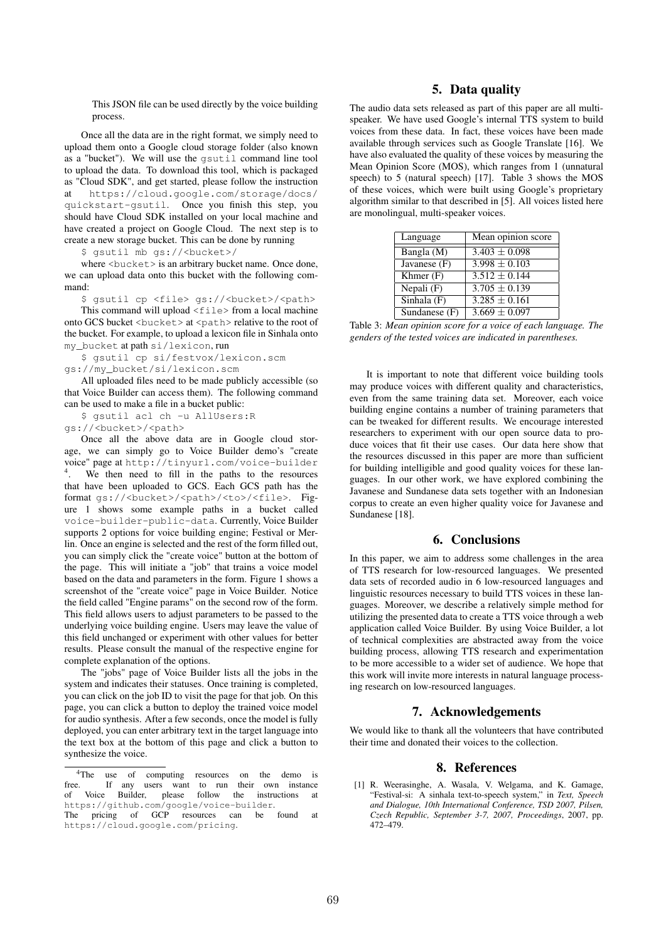This JSON file can be used directly by the voice building process.

Once all the data are in the right format, we simply need to upload them onto a Google cloud storage folder (also known as a "bucket"). We will use the gsutil command line tool to upload the data. To download this tool, which is packaged as "Cloud SDK", and get started, please follow the instruction at https://cloud.google.com/storage/docs/ quickstart-gsutil. Once you finish this step, you should have Cloud SDK installed on your local machine and have created a project on Google Cloud. The next step is to create a new storage bucket. This can be done by running

\$ gsutil mb gs://<bucket>/

where <br/>bucket> is an arbitrary bucket name. Once done, we can upload data onto this bucket with the following command:

\$ gsutil cp <file> gs://<br/>bucket>/<path> This command will upload  $\leq$  file  $>$  from a local machine onto GCS bucket <br/>bucket> at <path> relative to the root of the bucket. For example, to upload a lexicon file in Sinhala onto my\_bucket at path si/lexicon, run

\$ gsutil cp si/festvox/lexicon.scm gs://my\_bucket/si/lexicon.scm

All uploaded files need to be made publicly accessible (so that Voice Builder can access them). The following command can be used to make a file in a bucket public:

\$ gsutil acl ch -u AllUsers:R

gs://<br/>bucket>/<path>

Once all the above data are in Google cloud storage, we can simply go to Voice Builder demo's "create voice" page at http://tinyurl.com/voice-builder 4 . We then need to fill in the paths to the resources that have been uploaded to GCS. Each GCS path has the format gs://<br/>bucket>/<path>/<to>/<file>. Figure 1 shows some example paths in a bucket called voice-builder-public-data. Currently, Voice Builder supports 2 options for voice building engine; Festival or Merlin. Once an engine is selected and the rest of the form filled out, you can simply click the "create voice" button at the bottom of the page. This will initiate a "job" that trains a voice model based on the data and parameters in the form. Figure 1 shows a screenshot of the "create voice" page in Voice Builder. Notice the field called "Engine params" on the second row of the form. This field allows users to adjust parameters to be passed to the underlying voice building engine. Users may leave the value of this field unchanged or experiment with other values for better results. Please consult the manual of the respective engine for complete explanation of the options.

The "jobs" page of Voice Builder lists all the jobs in the system and indicates their statuses. Once training is completed, you can click on the job ID to visit the page for that job. On this page, you can click a button to deploy the trained voice model for audio synthesis. After a few seconds, once the model is fully deployed, you can enter arbitrary text in the target language into the text box at the bottom of this page and click a button to synthesize the voice.

# 5. Data quality

The audio data sets released as part of this paper are all multispeaker. We have used Google's internal TTS system to build voices from these data. In fact, these voices have been made available through services such as Google Translate [16]. We have also evaluated the quality of these voices by measuring the Mean Opinion Score (MOS), which ranges from 1 (unnatural speech) to 5 (natural speech) [17]. Table 3 shows the MOS of these voices, which were built using Google's proprietary algorithm similar to that described in [5]. All voices listed here are monolingual, multi-speaker voices.

| Language       | Mean opinion score |
|----------------|--------------------|
| Bangla (M)     | $3.403 \pm 0.098$  |
| Javanese $(F)$ | $3.998 \pm 0.103$  |
| Khmer $(F)$    | $3.512 \pm 0.144$  |
| Nepali $(F)$   | $3.705 \pm 0.139$  |
| Sinhala $(F)$  | $3.285 \pm 0.161$  |
| Sundanese (F)  | $3.669 \pm 0.097$  |

Table 3: *Mean opinion score for a voice of each language. The genders of the tested voices are indicated in parentheses.*

It is important to note that different voice building tools may produce voices with different quality and characteristics, even from the same training data set. Moreover, each voice building engine contains a number of training parameters that can be tweaked for different results. We encourage interested researchers to experiment with our open source data to produce voices that fit their use cases. Our data here show that the resources discussed in this paper are more than sufficient for building intelligible and good quality voices for these languages. In our other work, we have explored combining the Javanese and Sundanese data sets together with an Indonesian corpus to create an even higher quality voice for Javanese and Sundanese [18].

## 6. Conclusions

In this paper, we aim to address some challenges in the area of TTS research for low-resourced languages. We presented data sets of recorded audio in 6 low-resourced languages and linguistic resources necessary to build TTS voices in these languages. Moreover, we describe a relatively simple method for utilizing the presented data to create a TTS voice through a web application called Voice Builder. By using Voice Builder, a lot of technical complexities are abstracted away from the voice building process, allowing TTS research and experimentation to be more accessible to a wider set of audience. We hope that this work will invite more interests in natural language processing research on low-resourced languages.

## 7. Acknowledgements

We would like to thank all the volunteers that have contributed their time and donated their voices to the collection.

#### 8. References

[1] R. Weerasinghe, A. Wasala, V. Welgama, and K. Gamage, "Festival-si: A sinhala text-to-speech system," in *Text, Speech and Dialogue, 10th International Conference, TSD 2007, Pilsen, Czech Republic, September 3-7, 2007, Proceedings*, 2007, pp. 472–479.

<sup>&</sup>lt;sup>4</sup>The use of computing resources on the demo is free. If any users want to run their own instance<br>of Voice Builder, please follow the instructions at of Voice Builder, please follow the instructions at https://github.com/google/voice-builder.<br>The pricing of GCP resources can be

The pricing of GCP resources can be found at https://cloud.google.com/pricing.